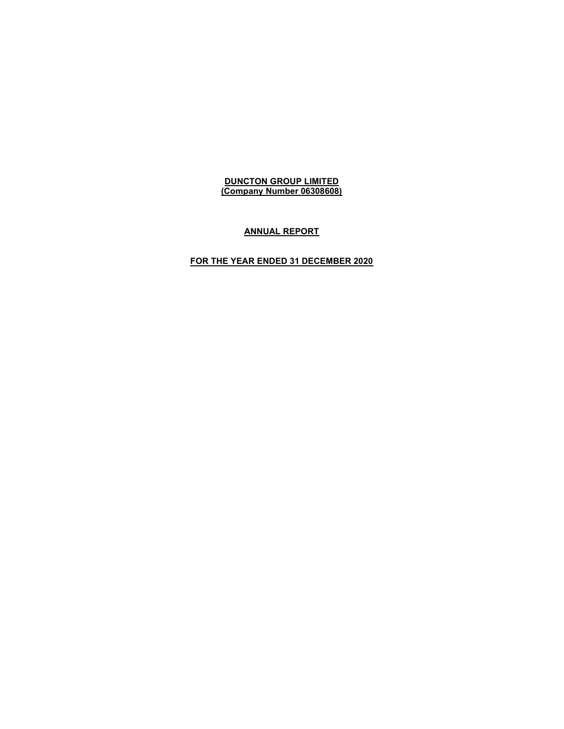## ANNUAL REPORT

# FOR THE YEAR ENDED 31 DECEMBER 2020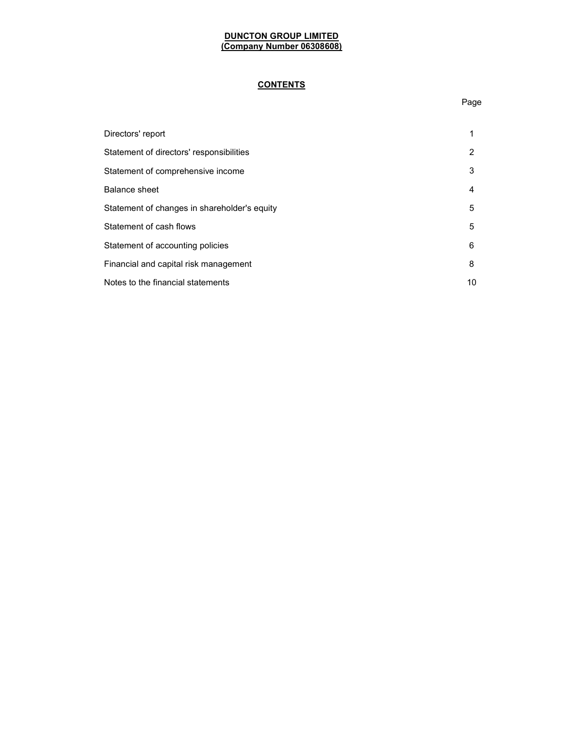# **CONTENTS**

| Directors' report                            |    |
|----------------------------------------------|----|
| Statement of directors' responsibilities     | 2  |
| Statement of comprehensive income            | 3  |
| Balance sheet                                | 4  |
| Statement of changes in shareholder's equity | 5  |
| Statement of cash flows                      | 5  |
| Statement of accounting policies             | 6  |
| Financial and capital risk management        | 8  |
| Notes to the financial statements            | 10 |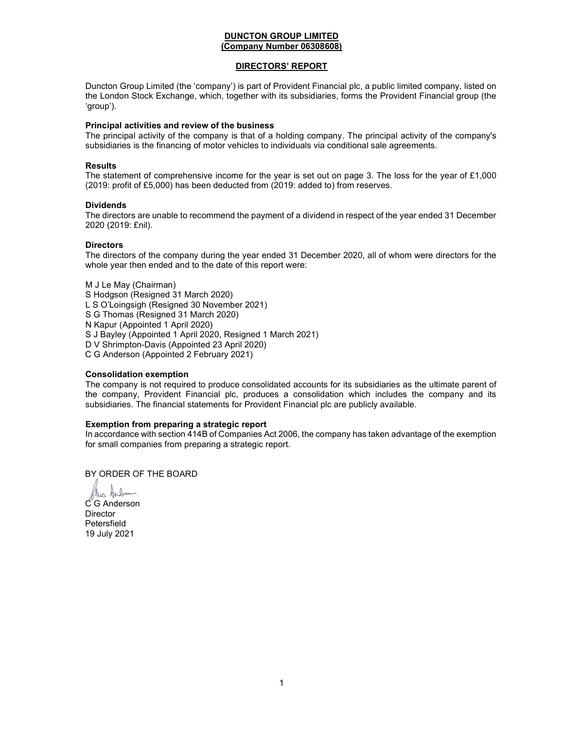# DIRECTORS' REPORT

Duncton Group Limited (the 'company') is part of Provident Financial plc, a public limited company, listed on the London Stock Exchange, which, together with its subsidiaries, forms the Provident Financial group (the 'group').

### Principal activities and review of the business

The principal activity of the company is that of a holding company. The principal activity of the company's subsidiaries is the financing of motor vehicles to individuals via conditional sale agreements.

## Results

The statement of comprehensive income for the year is set out on page 3. The loss for the year of £1,000 (2019: profit of £5,000) has been deducted from (2019: added to) from reserves.

### **Dividends**

The directors are unable to recommend the payment of a dividend in respect of the year ended 31 December 2020 (2019: £nil).

# **Directors**

The directors of the company during the year ended 31 December 2020, all of whom were directors for the whole year then ended and to the date of this report were:

M J Le May (Chairman) S Hodgson (Resigned 31 March 2020) L S O'Loingsigh (Resigned 30 November 2021) S G Thomas (Resigned 31 March 2020) N Kapur (Appointed 1 April 2020) S J Bayley (Appointed 1 April 2020, Resigned 1 March 2021) D V Shrimpton-Davis (Appointed 23 April 2020) C G Anderson (Appointed 2 February 2021)

# Consolidation exemption

The company is not required to produce consolidated accounts for its subsidiaries as the ultimate parent of the company, Provident Financial plc, produces a consolidation which includes the company and its subsidiaries. The financial statements for Provident Financial plc are publicly available.

## Exemption from preparing a strategic report

In accordance with section 414B of Companies Act 2006, the company has taken advantage of the exemption for small companies from preparing a strategic report.

BY ORDER OF THE BOARD

lus Arben

C G Anderson Director Petersfield 19 July 2021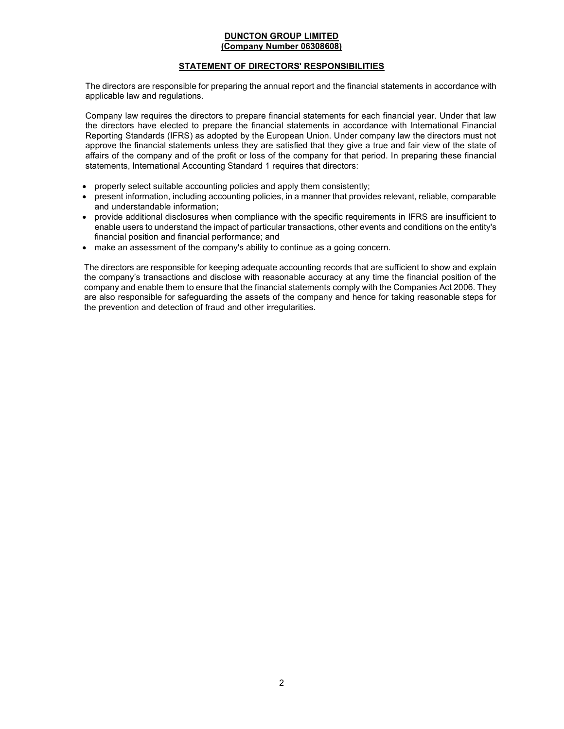## STATEMENT OF DIRECTORS' RESPONSIBILITIES

The directors are responsible for preparing the annual report and the financial statements in accordance with applicable law and regulations.

Company law requires the directors to prepare financial statements for each financial year. Under that law the directors have elected to prepare the financial statements in accordance with International Financial Reporting Standards (IFRS) as adopted by the European Union. Under company law the directors must not approve the financial statements unless they are satisfied that they give a true and fair view of the state of affairs of the company and of the profit or loss of the company for that period. In preparing these financial statements, International Accounting Standard 1 requires that directors:

- properly select suitable accounting policies and apply them consistently;
- present information, including accounting policies, in a manner that provides relevant, reliable, comparable and understandable information;
- provide additional disclosures when compliance with the specific requirements in IFRS are insufficient to enable users to understand the impact of particular transactions, other events and conditions on the entity's financial position and financial performance; and
- make an assessment of the company's ability to continue as a going concern.

The directors are responsible for keeping adequate accounting records that are sufficient to show and explain the company's transactions and disclose with reasonable accuracy at any time the financial position of the company and enable them to ensure that the financial statements comply with the Companies Act 2006. They are also responsible for safeguarding the assets of the company and hence for taking reasonable steps for the prevention and detection of fraud and other irregularities.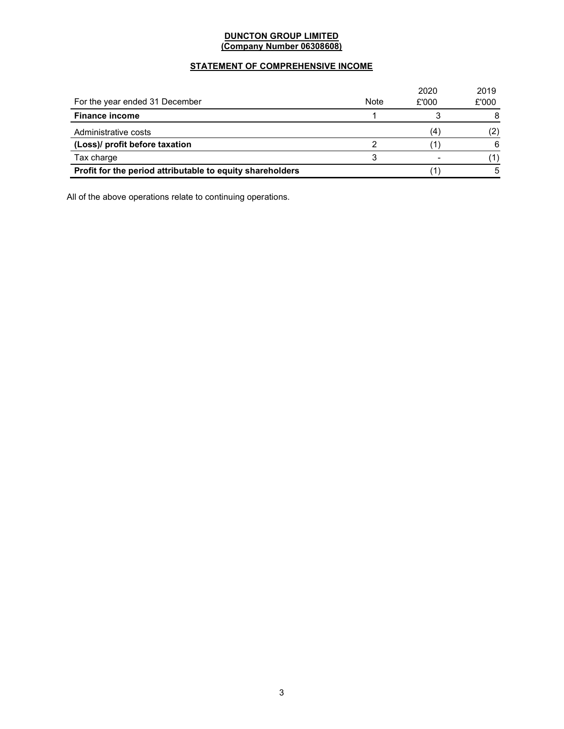# STATEMENT OF COMPREHENSIVE INCOME

|                                                           |             | 2020  | 2019  |
|-----------------------------------------------------------|-------------|-------|-------|
| For the year ended 31 December                            | <b>Note</b> | £'000 | £'000 |
| <b>Finance income</b>                                     |             |       | 8     |
| Administrative costs                                      |             | 4     | (2)   |
| (Loss)/ profit before taxation                            |             |       | 6     |
| Tax charge                                                |             |       |       |
| Profit for the period attributable to equity shareholders |             |       | 5     |

All of the above operations relate to continuing operations.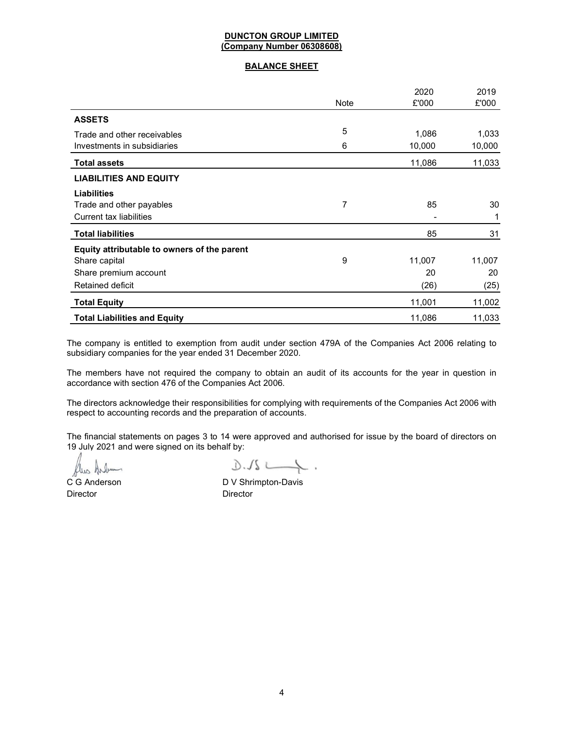# BALANCE SHEET

|                                             |             | 2020   | 2019   |
|---------------------------------------------|-------------|--------|--------|
|                                             | <b>Note</b> | £'000  | £'000  |
| <b>ASSETS</b>                               |             |        |        |
| Trade and other receivables                 | 5           | 1,086  | 1,033  |
| Investments in subsidiaries                 | 6           | 10,000 | 10,000 |
| <b>Total assets</b>                         |             | 11,086 | 11,033 |
| <b>LIABILITIES AND EQUITY</b>               |             |        |        |
| <b>Liabilities</b>                          |             |        |        |
| Trade and other payables                    | 7           | 85     | 30     |
| <b>Current tax liabilities</b>              |             |        |        |
| <b>Total liabilities</b>                    |             | 85     | 31     |
| Equity attributable to owners of the parent |             |        |        |
| Share capital                               | 9           | 11,007 | 11,007 |
| Share premium account                       |             | 20     | 20     |
| <b>Retained deficit</b>                     |             | (26)   | (25)   |
| <b>Total Equity</b>                         |             | 11,001 | 11,002 |
| <b>Total Liabilities and Equity</b>         |             | 11,086 | 11,033 |

The company is entitled to exemption from audit under section 479A of the Companies Act 2006 relating to subsidiary companies for the year ended 31 December 2020.

The members have not required the company to obtain an audit of its accounts for the year in question in accordance with section 476 of the Companies Act 2006.

The directors acknowledge their responsibilities for complying with requirements of the Companies Act 2006 with respect to accounting records and the preparation of accounts.

The financial statements on pages 3 to 14 were approved and authorised for issue by the board of directors on 19 July 2021 and were signed on its behalf by:

flus

Director Director

 $0.1s$ 

C G Anderson D V Shrimpton-Davis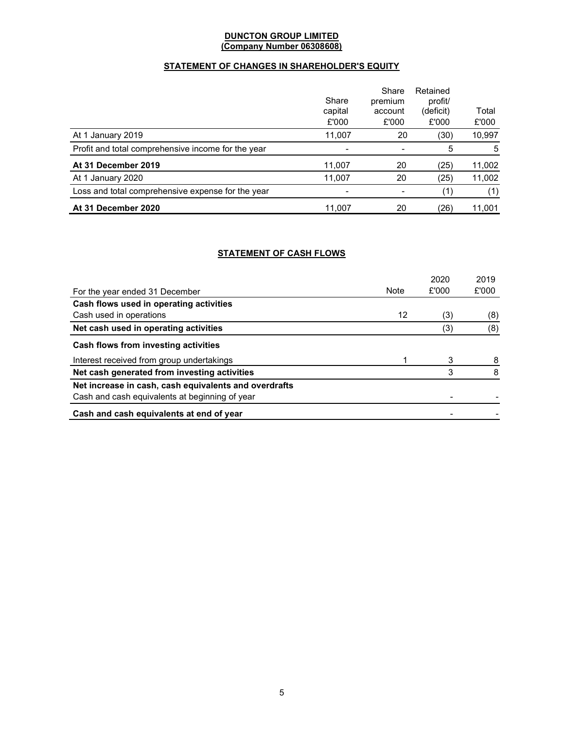# STATEMENT OF CHANGES IN SHAREHOLDER'S EQUITY

|                                                    | Share   | Share<br>premium | Retained<br>profit/ |        |
|----------------------------------------------------|---------|------------------|---------------------|--------|
|                                                    | capital | account          | (deficit)           | Total  |
|                                                    | £'000   | £'000            | £'000               | £'000  |
| At 1 January 2019                                  | 11,007  | 20               | (30)                | 10,997 |
| Profit and total comprehensive income for the year |         |                  | 5                   | 5      |
| At 31 December 2019                                | 11,007  | 20               | (25)                | 11,002 |
| At 1 January 2020                                  | 11,007  | 20               | (25)                | 11,002 |
| Loss and total comprehensive expense for the year  |         |                  | ั1                  | (1)    |
| At 31 December 2020                                | 11,007  | 20               | (26)                | 11,001 |

# STATEMENT OF CASH FLOWS

|                                                       |      | 2020  | 2019  |
|-------------------------------------------------------|------|-------|-------|
| For the year ended 31 December                        | Note | £'000 | £'000 |
| Cash flows used in operating activities               |      |       |       |
| Cash used in operations                               | 12   | (3)   | (8)   |
| Net cash used in operating activities                 |      | (3)   | (8)   |
| Cash flows from investing activities                  |      |       |       |
| Interest received from group undertakings             |      | 3     |       |
| Net cash generated from investing activities          |      | 3     | 8     |
| Net increase in cash, cash equivalents and overdrafts |      |       |       |
| Cash and cash equivalents at beginning of year        |      |       |       |
| Cash and cash equivalents at end of year              |      |       |       |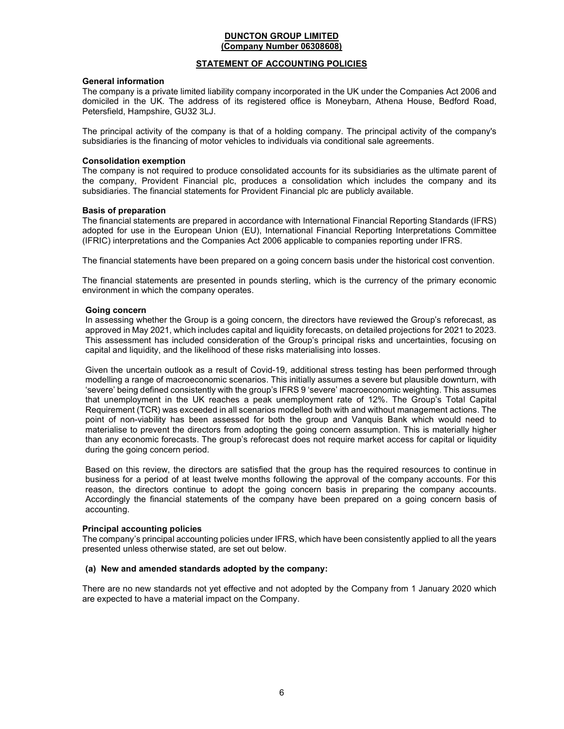## STATEMENT OF ACCOUNTING POLICIES

## General information

The company is a private limited liability company incorporated in the UK under the Companies Act 2006 and domiciled in the UK. The address of its registered office is Moneybarn, Athena House, Bedford Road, Petersfield, Hampshire, GU32 3LJ.

The principal activity of the company is that of a holding company. The principal activity of the company's subsidiaries is the financing of motor vehicles to individuals via conditional sale agreements.

## Consolidation exemption

The company is not required to produce consolidated accounts for its subsidiaries as the ultimate parent of the company, Provident Financial plc, produces a consolidation which includes the company and its subsidiaries. The financial statements for Provident Financial plc are publicly available.

### Basis of preparation

The financial statements are prepared in accordance with International Financial Reporting Standards (IFRS) adopted for use in the European Union (EU), International Financial Reporting Interpretations Committee (IFRIC) interpretations and the Companies Act 2006 applicable to companies reporting under IFRS.

The financial statements have been prepared on a going concern basis under the historical cost convention.

The financial statements are presented in pounds sterling, which is the currency of the primary economic environment in which the company operates.

### Going concern

In assessing whether the Group is a going concern, the directors have reviewed the Group's reforecast, as approved in May 2021, which includes capital and liquidity forecasts, on detailed projections for 2021 to 2023. This assessment has included consideration of the Group's principal risks and uncertainties, focusing on capital and liquidity, and the likelihood of these risks materialising into losses.

Given the uncertain outlook as a result of Covid-19, additional stress testing has been performed through modelling a range of macroeconomic scenarios. This initially assumes a severe but plausible downturn, with 'severe' being defined consistently with the group's IFRS 9 'severe' macroeconomic weighting. This assumes that unemployment in the UK reaches a peak unemployment rate of 12%. The Group's Total Capital Requirement (TCR) was exceeded in all scenarios modelled both with and without management actions. The point of non-viability has been assessed for both the group and Vanquis Bank which would need to materialise to prevent the directors from adopting the going concern assumption. This is materially higher than any economic forecasts. The group's reforecast does not require market access for capital or liquidity during the going concern period.

Based on this review, the directors are satisfied that the group has the required resources to continue in business for a period of at least twelve months following the approval of the company accounts. For this reason, the directors continue to adopt the going concern basis in preparing the company accounts. Accordingly the financial statements of the company have been prepared on a going concern basis of accounting.

### Principal accounting policies

The company's principal accounting policies under IFRS, which have been consistently applied to all the years presented unless otherwise stated, are set out below.

# (a) New and amended standards adopted by the company:

There are no new standards not yet effective and not adopted by the Company from 1 January 2020 which are expected to have a material impact on the Company.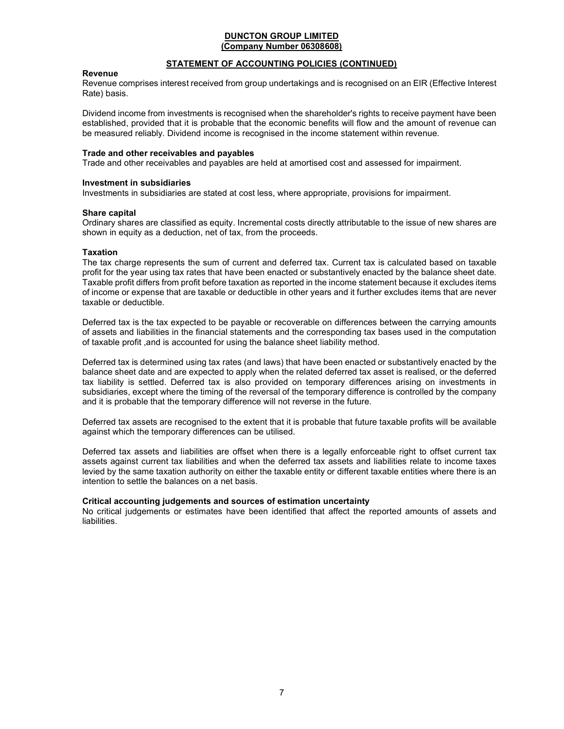## STATEMENT OF ACCOUNTING POLICIES (CONTINUED)

#### Revenue

Revenue comprises interest received from group undertakings and is recognised on an EIR (Effective Interest Rate) basis.

Dividend income from investments is recognised when the shareholder's rights to receive payment have been established, provided that it is probable that the economic benefits will flow and the amount of revenue can be measured reliably. Dividend income is recognised in the income statement within revenue.

#### Trade and other receivables and payables

Trade and other receivables and payables are held at amortised cost and assessed for impairment.

#### Investment in subsidiaries

Investments in subsidiaries are stated at cost less, where appropriate, provisions for impairment.

#### Share capital

Ordinary shares are classified as equity. Incremental costs directly attributable to the issue of new shares are shown in equity as a deduction, net of tax, from the proceeds.

### **Taxation**

The tax charge represents the sum of current and deferred tax. Current tax is calculated based on taxable profit for the year using tax rates that have been enacted or substantively enacted by the balance sheet date. Taxable profit differs from profit before taxation as reported in the income statement because it excludes items of income or expense that are taxable or deductible in other years and it further excludes items that are never taxable or deductible.

Deferred tax is the tax expected to be payable or recoverable on differences between the carrying amounts of assets and liabilities in the financial statements and the corresponding tax bases used in the computation of taxable profit ,and is accounted for using the balance sheet liability method.

Deferred tax is determined using tax rates (and laws) that have been enacted or substantively enacted by the balance sheet date and are expected to apply when the related deferred tax asset is realised, or the deferred tax liability is settled. Deferred tax is also provided on temporary differences arising on investments in subsidiaries, except where the timing of the reversal of the temporary difference is controlled by the company and it is probable that the temporary difference will not reverse in the future.

Deferred tax assets are recognised to the extent that it is probable that future taxable profits will be available against which the temporary differences can be utilised.

Deferred tax assets and liabilities are offset when there is a legally enforceable right to offset current tax assets against current tax liabilities and when the deferred tax assets and liabilities relate to income taxes levied by the same taxation authority on either the taxable entity or different taxable entities where there is an intention to settle the balances on a net basis.

### Critical accounting judgements and sources of estimation uncertainty

No critical judgements or estimates have been identified that affect the reported amounts of assets and liabilities.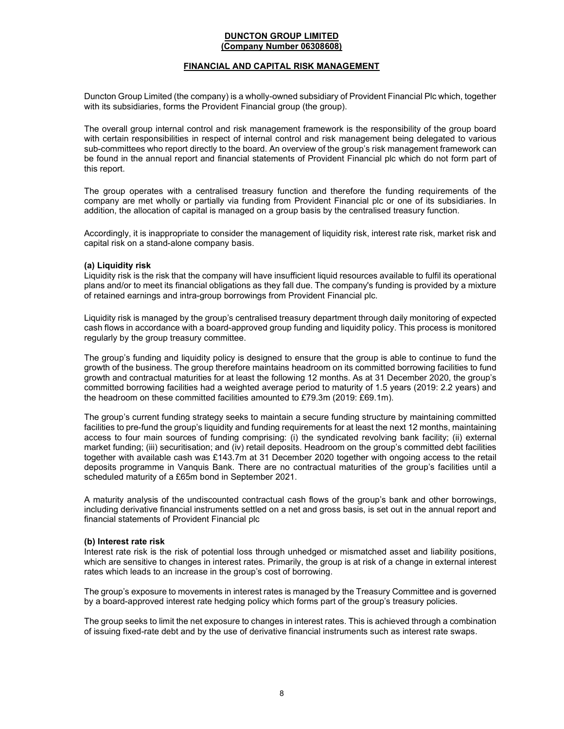## FINANCIAL AND CAPITAL RISK MANAGEMENT

Duncton Group Limited (the company) is a wholly-owned subsidiary of Provident Financial Plc which, together with its subsidiaries, forms the Provident Financial group (the group).

The overall group internal control and risk management framework is the responsibility of the group board with certain responsibilities in respect of internal control and risk management being delegated to various sub-committees who report directly to the board. An overview of the group's risk management framework can be found in the annual report and financial statements of Provident Financial plc which do not form part of this report.

The group operates with a centralised treasury function and therefore the funding requirements of the company are met wholly or partially via funding from Provident Financial plc or one of its subsidiaries. In addition, the allocation of capital is managed on a group basis by the centralised treasury function.

Accordingly, it is inappropriate to consider the management of liquidity risk, interest rate risk, market risk and capital risk on a stand-alone company basis.

#### (a) Liquidity risk

Liquidity risk is the risk that the company will have insufficient liquid resources available to fulfil its operational plans and/or to meet its financial obligations as they fall due. The company's funding is provided by a mixture of retained earnings and intra-group borrowings from Provident Financial plc.

Liquidity risk is managed by the group's centralised treasury department through daily monitoring of expected cash flows in accordance with a board-approved group funding and liquidity policy. This process is monitored regularly by the group treasury committee.

The group's funding and liquidity policy is designed to ensure that the group is able to continue to fund the growth of the business. The group therefore maintains headroom on its committed borrowing facilities to fund growth and contractual maturities for at least the following 12 months. As at 31 December 2020, the group's committed borrowing facilities had a weighted average period to maturity of 1.5 years (2019: 2.2 years) and the headroom on these committed facilities amounted to £79.3m (2019: £69.1m).

The group's current funding strategy seeks to maintain a secure funding structure by maintaining committed facilities to pre-fund the group's liquidity and funding requirements for at least the next 12 months, maintaining access to four main sources of funding comprising: (i) the syndicated revolving bank facility; (ii) external market funding; (iii) securitisation; and (iv) retail deposits. Headroom on the group's committed debt facilities together with available cash was £143.7m at 31 December 2020 together with ongoing access to the retail deposits programme in Vanquis Bank. There are no contractual maturities of the group's facilities until a scheduled maturity of a £65m bond in September 2021.

A maturity analysis of the undiscounted contractual cash flows of the group's bank and other borrowings, including derivative financial instruments settled on a net and gross basis, is set out in the annual report and financial statements of Provident Financial plc

### (b) Interest rate risk

Interest rate risk is the risk of potential loss through unhedged or mismatched asset and liability positions, which are sensitive to changes in interest rates. Primarily, the group is at risk of a change in external interest rates which leads to an increase in the group's cost of borrowing.

The group's exposure to movements in interest rates is managed by the Treasury Committee and is governed by a board-approved interest rate hedging policy which forms part of the group's treasury policies.

The group seeks to limit the net exposure to changes in interest rates. This is achieved through a combination of issuing fixed-rate debt and by the use of derivative financial instruments such as interest rate swaps.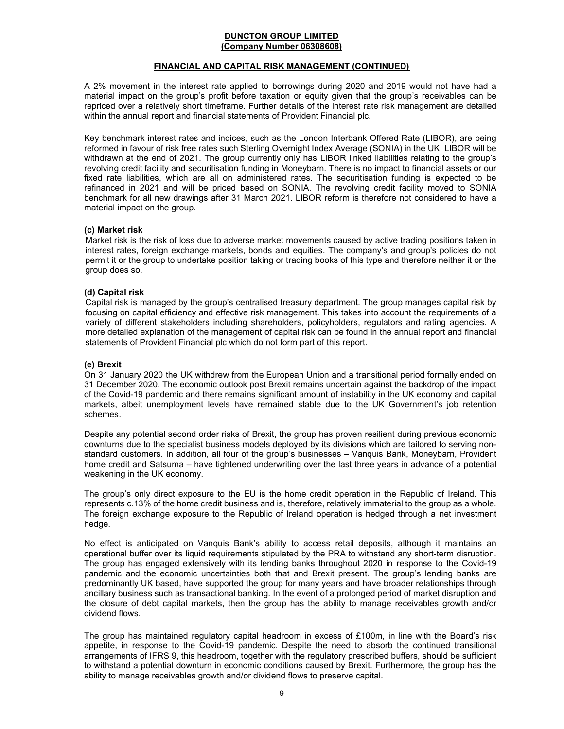## FINANCIAL AND CAPITAL RISK MANAGEMENT (CONTINUED)

A 2% movement in the interest rate applied to borrowings during 2020 and 2019 would not have had a material impact on the group's profit before taxation or equity given that the group's receivables can be repriced over a relatively short timeframe. Further details of the interest rate risk management are detailed within the annual report and financial statements of Provident Financial plc.

Key benchmark interest rates and indices, such as the London Interbank Offered Rate (LIBOR), are being reformed in favour of risk free rates such Sterling Overnight Index Average (SONIA) in the UK. LIBOR will be withdrawn at the end of 2021. The group currently only has LIBOR linked liabilities relating to the group's revolving credit facility and securitisation funding in Moneybarn. There is no impact to financial assets or our fixed rate liabilities, which are all on administered rates. The securitisation funding is expected to be refinanced in 2021 and will be priced based on SONIA. The revolving credit facility moved to SONIA benchmark for all new drawings after 31 March 2021. LIBOR reform is therefore not considered to have a material impact on the group.

## (c) Market risk

Market risk is the risk of loss due to adverse market movements caused by active trading positions taken in interest rates, foreign exchange markets, bonds and equities. The company's and group's policies do not permit it or the group to undertake position taking or trading books of this type and therefore neither it or the group does so.

## (d) Capital risk

Capital risk is managed by the group's centralised treasury department. The group manages capital risk by focusing on capital efficiency and effective risk management. This takes into account the requirements of a variety of different stakeholders including shareholders, policyholders, regulators and rating agencies. A more detailed explanation of the management of capital risk can be found in the annual report and financial statements of Provident Financial plc which do not form part of this report.

### (e) Brexit

On 31 January 2020 the UK withdrew from the European Union and a transitional period formally ended on 31 December 2020. The economic outlook post Brexit remains uncertain against the backdrop of the impact of the Covid-19 pandemic and there remains significant amount of instability in the UK economy and capital markets, albeit unemployment levels have remained stable due to the UK Government's job retention schemes.

Despite any potential second order risks of Brexit, the group has proven resilient during previous economic downturns due to the specialist business models deployed by its divisions which are tailored to serving nonstandard customers. In addition, all four of the group's businesses – Vanquis Bank, Moneybarn, Provident home credit and Satsuma – have tightened underwriting over the last three years in advance of a potential weakening in the UK economy.

The group's only direct exposure to the EU is the home credit operation in the Republic of Ireland. This represents c.13% of the home credit business and is, therefore, relatively immaterial to the group as a whole. The foreign exchange exposure to the Republic of Ireland operation is hedged through a net investment hedge.

No effect is anticipated on Vanquis Bank's ability to access retail deposits, although it maintains an operational buffer over its liquid requirements stipulated by the PRA to withstand any short-term disruption. The group has engaged extensively with its lending banks throughout 2020 in response to the Covid-19 pandemic and the economic uncertainties both that and Brexit present. The group's lending banks are predominantly UK based, have supported the group for many years and have broader relationships through ancillary business such as transactional banking. In the event of a prolonged period of market disruption and the closure of debt capital markets, then the group has the ability to manage receivables growth and/or dividend flows.

The group has maintained regulatory capital headroom in excess of £100m, in line with the Board's risk appetite, in response to the Covid-19 pandemic. Despite the need to absorb the continued transitional arrangements of IFRS 9, this headroom, together with the regulatory prescribed buffers, should be sufficient to withstand a potential downturn in economic conditions caused by Brexit. Furthermore, the group has the ability to manage receivables growth and/or dividend flows to preserve capital.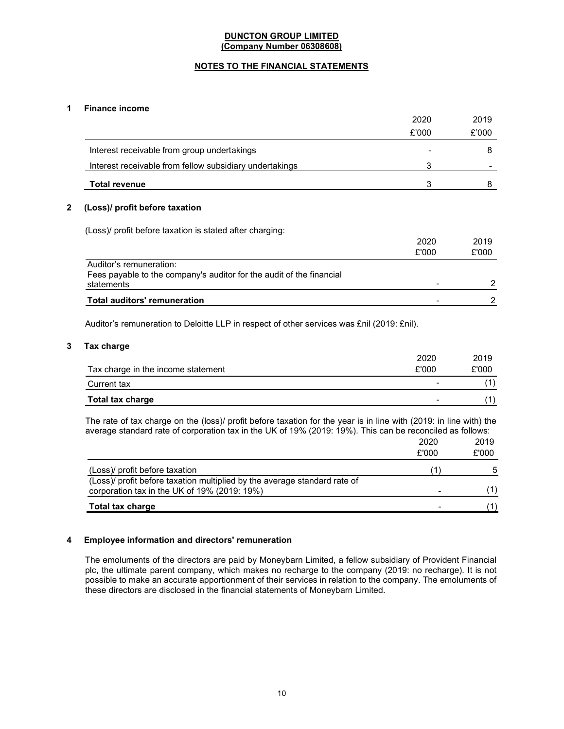# NOTES TO THE FINANCIAL STATEMENTS

# 1 Finance income

|                                                                                                               | 2020  | 2019  |
|---------------------------------------------------------------------------------------------------------------|-------|-------|
|                                                                                                               | £'000 | £'000 |
| Interest receivable from group undertakings                                                                   |       | 8     |
| Interest receivable from fellow subsidiary undertakings                                                       | 3     |       |
| <b>Total revenue</b>                                                                                          | 3     | 8     |
| (Loss)/ profit before taxation<br>(Loss) profit before taxation is stated after charging:                     |       |       |
|                                                                                                               | 2020  | 2019  |
|                                                                                                               | £'000 | £'000 |
| Auditor's remuneration:<br>Fees payable to the company's auditor for the audit of the financial<br>statements |       |       |
| <b>Total auditors' remuneration</b>                                                                           |       | 2     |

Auditor's remuneration to Deloitte LLP in respect of other services was £nil (2019: £nil).

## 3 Tax charge

|                                    | 2020  | 2019  |
|------------------------------------|-------|-------|
| Tax charge in the income statement | £'000 | £'000 |
| Current tax                        |       |       |
| <b>Total tax charge</b>            |       |       |

The rate of tax charge on the (loss)/ profit before taxation for the year is in line with (2019: in line with) the average standard rate of corporation tax in the UK of 19% (2019: 19%). This can be reconciled as follows:

|                                                                           | 2020  | 2019  |
|---------------------------------------------------------------------------|-------|-------|
|                                                                           | £'000 | £'000 |
| (Loss)/ profit before taxation                                            |       | 5     |
| (Loss)/ profit before taxation multiplied by the average standard rate of |       |       |
| corporation tax in the UK of 19% (2019: 19%)                              |       |       |
| <b>Total tax charge</b>                                                   |       |       |

## 4 Employee information and directors' remuneration

The emoluments of the directors are paid by Moneybarn Limited, a fellow subsidiary of Provident Financial plc, the ultimate parent company, which makes no recharge to the company (2019: no recharge). It is not possible to make an accurate apportionment of their services in relation to the company. The emoluments of these directors are disclosed in the financial statements of Moneybarn Limited.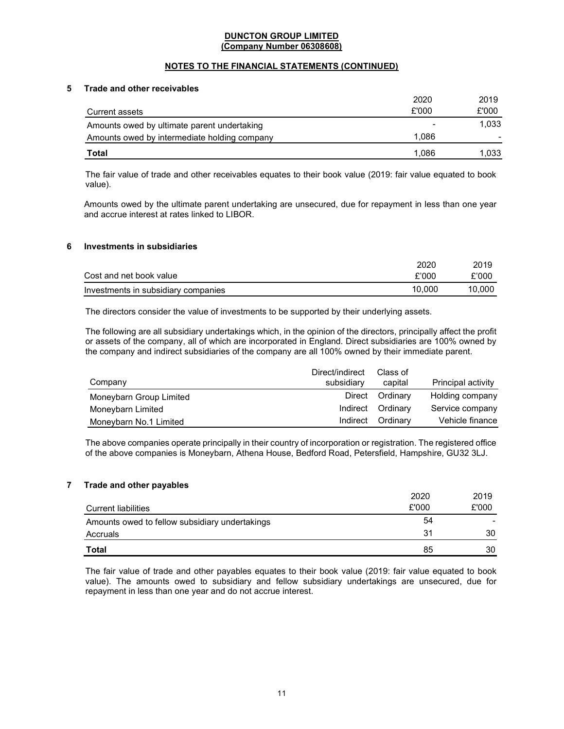# NOTES TO THE FINANCIAL STATEMENTS (CONTINUED)

## 5 Trade and other receivables

|                                              | 2020  | 2019  |
|----------------------------------------------|-------|-------|
| Current assets                               | £'000 | £'000 |
| Amounts owed by ultimate parent undertaking  | -     | 1.033 |
| Amounts owed by intermediate holding company | 1.086 |       |
| Total                                        | 1.086 | 1.033 |

The fair value of trade and other receivables equates to their book value (2019: fair value equated to book value).

Amounts owed by the ultimate parent undertaking are unsecured, due for repayment in less than one year and accrue interest at rates linked to LIBOR.

#### 6 Investments in subsidiaries

|                                     | 2020   | 2019   |
|-------------------------------------|--------|--------|
| Cost and net book value             | £'000  | £'000  |
| Investments in subsidiary companies | 10.000 | 10.000 |

The directors consider the value of investments to be supported by their underlying assets.

The following are all subsidiary undertakings which, in the opinion of the directors, principally affect the profit or assets of the company, all of which are incorporated in England. Direct subsidiaries are 100% owned by the company and indirect subsidiaries of the company are all 100% owned by their immediate parent.

| Company                 | Direct/indirect<br>subsidiary | Class of<br>capital | Principal activity |
|-------------------------|-------------------------------|---------------------|--------------------|
| Moneybarn Group Limited |                               | Direct Ordinary     | Holding company    |
| Moneybarn Limited       |                               | Indirect Ordinary   | Service company    |
| Moneybarn No.1 Limited  |                               | Indirect Ordinary   | Vehicle finance    |

The above companies operate principally in their country of incorporation or registration. The registered office of the above companies is Moneybarn, Athena House, Bedford Road, Petersfield, Hampshire, GU32 3LJ.

### 7 Trade and other payables

|                                                | 2020  | 2019  |
|------------------------------------------------|-------|-------|
| <b>Current liabilities</b>                     | £'000 | £'000 |
| Amounts owed to fellow subsidiary undertakings | 54    |       |
| Accruals                                       | 31    | 30    |
| Total                                          | 85    | 30    |

The fair value of trade and other payables equates to their book value (2019: fair value equated to book value). The amounts owed to subsidiary and fellow subsidiary undertakings are unsecured, due for repayment in less than one year and do not accrue interest.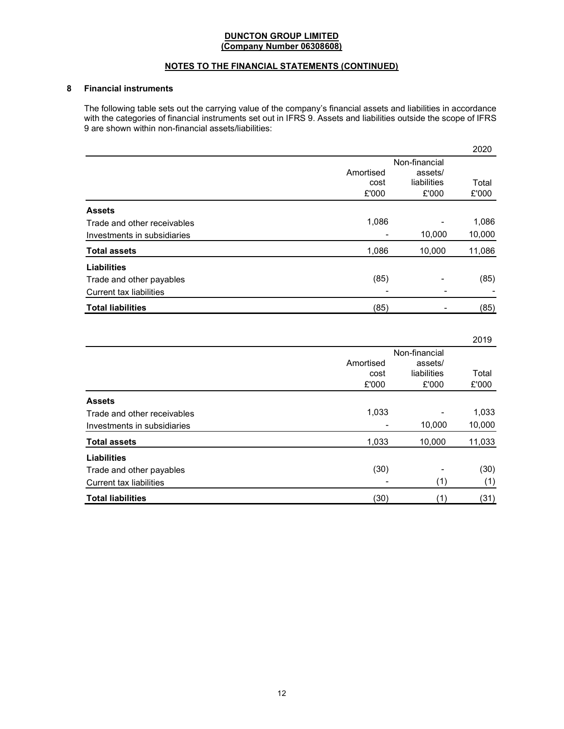# NOTES TO THE FINANCIAL STATEMENTS (CONTINUED)

# 8 Financial instruments

The following table sets out the carrying value of the company's financial assets and liabilities in accordance with the categories of financial instruments set out in IFRS 9. Assets and liabilities outside the scope of IFRS 9 are shown within non-financial assets/liabilities:

|                                |           |               | 2020   |
|--------------------------------|-----------|---------------|--------|
|                                |           | Non-financial |        |
|                                | Amortised | assets/       |        |
|                                | cost      | liabilities   | Total  |
|                                | £'000     | £'000         | £'000  |
| <b>Assets</b>                  |           |               |        |
| Trade and other receivables    | 1,086     |               | 1,086  |
| Investments in subsidiaries    |           | 10,000        | 10,000 |
| <b>Total assets</b>            | 1,086     | 10,000        | 11,086 |
| <b>Liabilities</b>             |           |               |        |
| Trade and other payables       | (85)      |               | (85)   |
| <b>Current tax liabilities</b> |           |               |        |
| <b>Total liabilities</b>       | (85)      |               | (85)   |

|                                |           |               | 2019   |
|--------------------------------|-----------|---------------|--------|
|                                |           | Non-financial |        |
|                                | Amortised | assets/       |        |
|                                | cost      | liabilities   | Total  |
|                                | £'000     | £'000         | £'000  |
| <b>Assets</b>                  |           |               |        |
| Trade and other receivables    | 1,033     |               | 1,033  |
| Investments in subsidiaries    |           | 10,000        | 10,000 |
| <b>Total assets</b>            | 1,033     | 10,000        | 11,033 |
| <b>Liabilities</b>             |           |               |        |
| Trade and other payables       | (30)      |               | (30)   |
| <b>Current tax liabilities</b> |           | (1)           | (1)    |
| <b>Total liabilities</b>       | (30)      | $^{\prime}$ 1 | (31)   |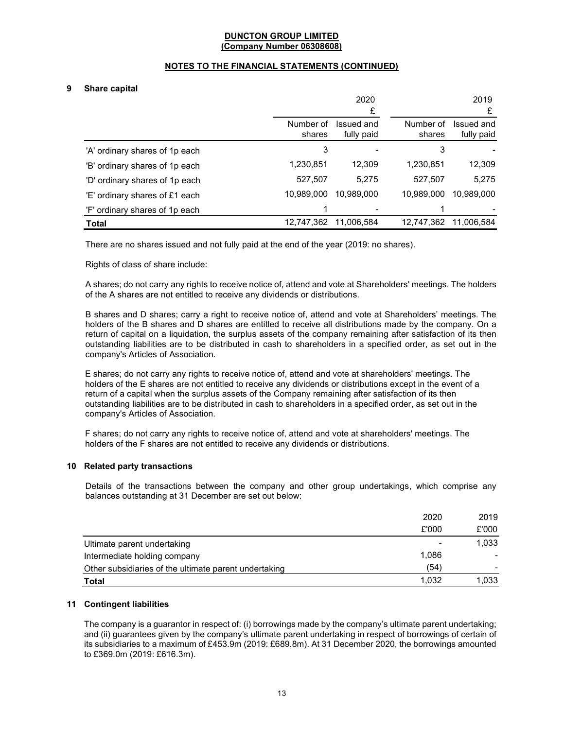# NOTES TO THE FINANCIAL STATEMENTS (CONTINUED)

# 9 Share capital

|                                |                     | 2020                     |                     | 2019                     |
|--------------------------------|---------------------|--------------------------|---------------------|--------------------------|
|                                |                     | £                        |                     | £                        |
|                                | Number of<br>shares | Issued and<br>fully paid | Number of<br>shares | Issued and<br>fully paid |
| 'A' ordinary shares of 1p each | 3                   |                          | 3                   |                          |
| 'B' ordinary shares of 1p each | 1,230,851           | 12,309                   | 1,230,851           | 12,309                   |
| 'D' ordinary shares of 1p each | 527,507             | 5,275                    | 527,507             | 5,275                    |
| 'E' ordinary shares of £1 each | 10,989,000          | 10.989.000               | 10,989,000          | 10,989,000               |
| 'F' ordinary shares of 1p each | 4                   |                          |                     |                          |
| <b>Total</b>                   | 12,747,362          | 11,006,584               | 12,747,362          | 11,006,584               |

There are no shares issued and not fully paid at the end of the year (2019: no shares).

Rights of class of share include:

A shares; do not carry any rights to receive notice of, attend and vote at Shareholders' meetings. The holders of the A shares are not entitled to receive any dividends or distributions.

B shares and D shares; carry a right to receive notice of, attend and vote at Shareholders' meetings. The holders of the B shares and D shares are entitled to receive all distributions made by the company. On a return of capital on a liquidation, the surplus assets of the company remaining after satisfaction of its then outstanding liabilities are to be distributed in cash to shareholders in a specified order, as set out in the company's Articles of Association.

E shares; do not carry any rights to receive notice of, attend and vote at shareholders' meetings. The holders of the E shares are not entitled to receive any dividends or distributions except in the event of a return of a capital when the surplus assets of the Company remaining after satisfaction of its then outstanding liabilities are to be distributed in cash to shareholders in a specified order, as set out in the company's Articles of Association.

F shares; do not carry any rights to receive notice of, attend and vote at shareholders' meetings. The holders of the F shares are not entitled to receive any dividends or distributions.

### 10 Related party transactions

Details of the transactions between the company and other group undertakings, which comprise any balances outstanding at 31 December are set out below:

|                                                       | 2020  | 2019  |
|-------------------------------------------------------|-------|-------|
|                                                       | £'000 | £'000 |
| Ultimate parent undertaking                           |       | 1,033 |
| Intermediate holding company                          | 1,086 |       |
| Other subsidiaries of the ultimate parent undertaking | (54)  |       |
| Total                                                 | 1.032 | 1,033 |

# 11 Contingent liabilities

The company is a guarantor in respect of: (i) borrowings made by the company's ultimate parent undertaking; and (ii) guarantees given by the company's ultimate parent undertaking in respect of borrowings of certain of its subsidiaries to a maximum of £453.9m (2019: £689.8m). At 31 December 2020, the borrowings amounted to £369.0m (2019: £616.3m).